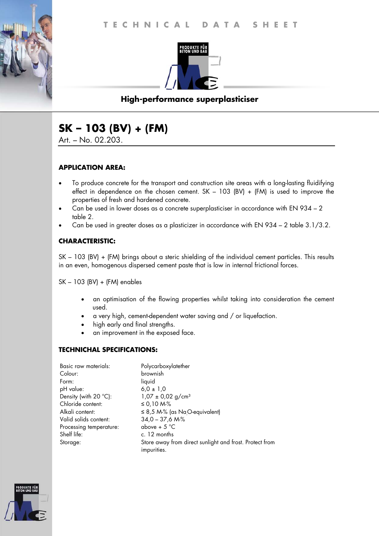

# **High-performance superplasticiser**

# **SK – 103 (BV) + (FM)**

Art. – No. 02.203.

#### **APPLICATION AREA:**

- To produce concrete for the transport and construction site areas with a long-lasting fluidifying effect in dependence on the chosen cement. SK – 103 (BV) + (FM) is used to improve the properties of fresh and hardened concrete.
- Can be used in lower doses as a concrete superplasticiser in accordance with EN 934 2 table 2.
- Can be used in greater doses as a plasticizer in accordance with EN 934 2 table 3.1/3.2.

### **CHARACTERISTIC:**

SK – 103 (BV) + (FM) brings about a steric shielding of the individual cement particles. This results in an even, homogenous dispersed cement paste that is low in internal frictional forces.

SK – 103 (BV) + (FM) enables

- an optimisation of the flowing properties whilst taking into consideration the cement used.
- a very high, cement-dependent water saving and / or liquefaction.
- high early and final strengths.
- an improvement in the exposed face.

### **TECHNICHAL SPECIFICATIONS:**

| Basic raw materials:    | Polycarboxylatether                                                    |
|-------------------------|------------------------------------------------------------------------|
| Colour:                 | brownish                                                               |
| Form:                   | liquid                                                                 |
| pH value:               | $6.0 \pm 1.0$                                                          |
| Density (with 20 °C):   | $1,07 \pm 0,02$ g/cm <sup>3</sup>                                      |
| Chloride content:       | ≤ 0,10 M-%                                                             |
| Alkali content:         | $\leq$ 8,5 M-% (as NaO-equivalent)                                     |
| Valid solids content:   | $34,0 - 37,6$ M-%                                                      |
| Processing temperature: | above + $5^{\circ}$ C                                                  |
| Shelf life:             | c. 12 months                                                           |
| Storage:                | Store away from direct sunlight and frost. Protect from<br>impurities. |